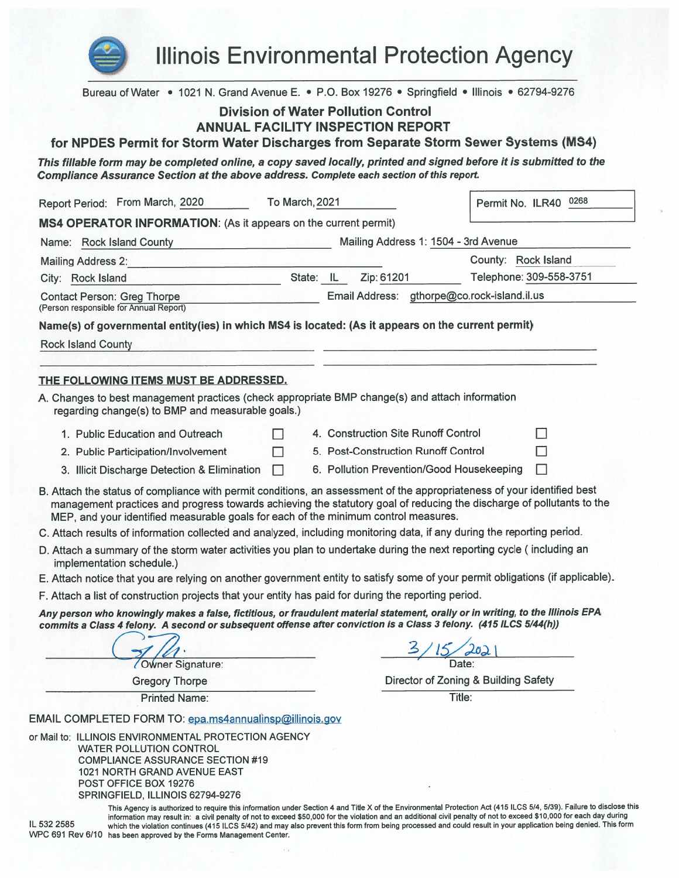

**Illinois Environmental Protection Agency** 

Bureau of Water • 1021 N. Grand Avenue E. • P.O. Box 19276 • Springfield • Illinois • 62794-9276 **Division of Water Pollution Control ANNUAL FACILITY INSPECTION REPORT** for NPDES Permit for Storm Water Discharges from Separate Storm Sewer Systems (MS4) This fillable form may be completed online, a copy saved locally, printed and signed before it is submitted to the Compliance Assurance Section at the above address. Complete each section of this report. Report Period: From March, 2020 Permit No. ILR40 0268 To March, 2021 MS4 OPERATOR INFORMATION: (As it appears on the current permit) Name: Rock Island County Mailing Address 1: 1504 - 3rd Avenue County: Rock Island **Mailing Address 2:** 

| City: Rock Island                      |  | Telephone: 309-558-375                      |
|----------------------------------------|--|---------------------------------------------|
| Contact Person: Greg Thorpe            |  | Email Address: gthorpe@co.rock-island.il.us |
| (Person responsible for Annual Report) |  |                                             |

Name(s) of governmental entity(ies) in which MS4 is located: (As it appears on the current permit)

**Rock Island County** 

#### THE FOLLOWING ITEMS MUST BE ADDRESSED.

A. Changes to best management practices (check appropriate BMP change(s) and attach information regarding change(s) to BMP and measurable goals.)

 $\Box$ 

 $\Box$ 

- 1. Public Education and Outreach 2. Public Participation/Involvement
- 4. Construction Site Runoff Control 5. Post-Construction Runoff Control
- 

П

 $\Box$ 

- 3. Illicit Discharge Detection & Elimination
- 6. Pollution Prevention/Good Housekeeping
- B. Attach the status of compliance with permit conditions, an assessment of the appropriateness of your identified best management practices and progress towards achieving the statutory goal of reducing the discharge of pollutants to the MEP, and your identified measurable goals for each of the minimum control measures.
- C. Attach results of information collected and analyzed, including monitoring data, if any during the reporting period.
- D. Attach a summary of the storm water activities you plan to undertake during the next reporting cycle (including an implementation schedule.)
- E. Attach notice that you are relying on another government entity to satisfy some of your permit obligations (if applicable).
- F. Attach a list of construction projects that your entity has paid for during the reporting period.

Any person who knowingly makes a false, fictitious, or fraudulent material statement, orally or in writing, to the Illinois EPA commits a Class 4 felony. A second or subsequent offense after conviction is a Class 3 felony. (415 ILCS 5/44(h))

Owner Signature:

**Gregory Thorpe** 

**Printed Name:** 

Director of Zoning & Building Safety

Title:

EMAIL COMPLETED FORM TO: epa.ms4annualinsp@illinois.gov

or Mail to: ILLINOIS ENVIRONMENTAL PROTECTION AGENCY **WATER POLLUTION CONTROL COMPLIANCE ASSURANCE SECTION #19** 1021 NORTH GRAND AVENUE EAST POST OFFICE BOX 19276 SPRINGFIELD, ILLINOIS 62794-9276

IL 532 2585

This Agency is authorized to require this information under Section 4 and Title X of the Environmental Protection Act (415 ILCS 5/4, 5/39). Failure to disclose this information may result in: a civil penalty of not to exceed \$50,000 for the violation and an additional civil penalty of not to exceed \$10,000 for each day during which the violation continues (415 ILCS 5/42) and may also prevent this form from being processed and could result in your application being denied. This form WPC 691 Rev 6/10 has been approved by the Forms Management Center.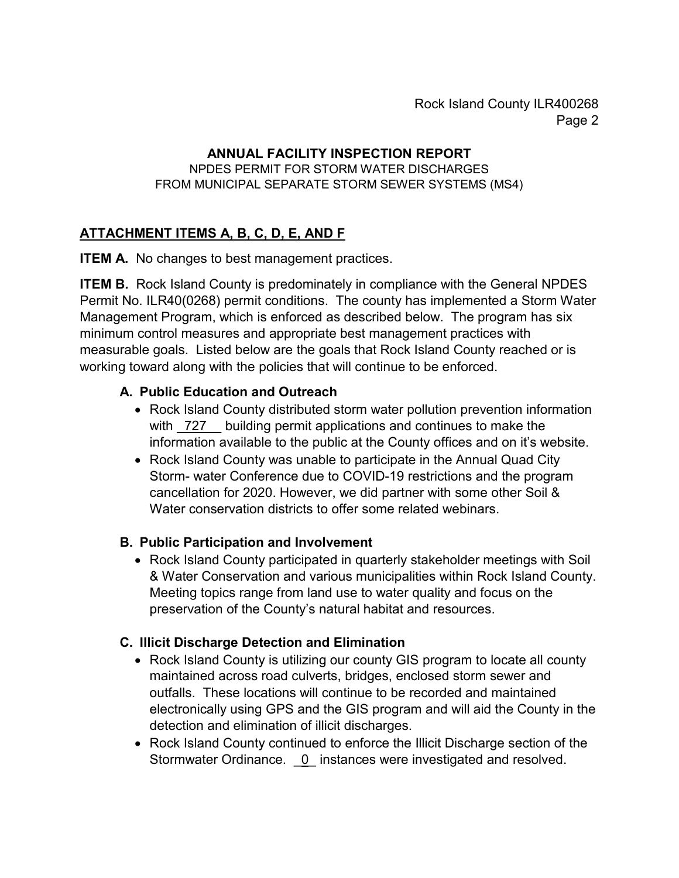Rock Island County ILR400268 Page 2

#### **ANNUAL FACILITY INSPECTION REPORT**

#### NPDES PERMIT FOR STORM WATER DISCHARGES FROM MUNICIPAL SEPARATE STORM SEWER SYSTEMS (MS4)

## **ATTACHMENT ITEMS A, B, C, D, E, AND F**

**ITEM A.** No changes to best management practices.

**ITEM B.** Rock Island County is predominately in compliance with the General NPDES Permit No. ILR40(0268) permit conditions. The county has implemented a Storm Water Management Program, which is enforced as described below. The program has six minimum control measures and appropriate best management practices with measurable goals. Listed below are the goals that Rock Island County reached or is working toward along with the policies that will continue to be enforced.

#### **A. Public Education and Outreach**

- Rock Island County distributed storm water pollution prevention information with  $\frac{727}{ }$  building permit applications and continues to make the information available to the public at the County offices and on it's website.
- Rock Island County was unable to participate in the Annual Quad City Storm- water Conference due to COVID-19 restrictions and the program cancellation for 2020. However, we did partner with some other Soil & Water conservation districts to offer some related webinars.

### **B. Public Participation and Involvement**

• Rock Island County participated in quarterly stakeholder meetings with Soil & Water Conservation and various municipalities within Rock Island County. Meeting topics range from land use to water quality and focus on the preservation of the County's natural habitat and resources.

### **C. Illicit Discharge Detection and Elimination**

- Rock Island County is utilizing our county GIS program to locate all county maintained across road culverts, bridges, enclosed storm sewer and outfalls. These locations will continue to be recorded and maintained electronically using GPS and the GIS program and will aid the County in the detection and elimination of illicit discharges.
- Rock Island County continued to enforce the Illicit Discharge section of the Stormwater Ordinance. 0\_ instances were investigated and resolved.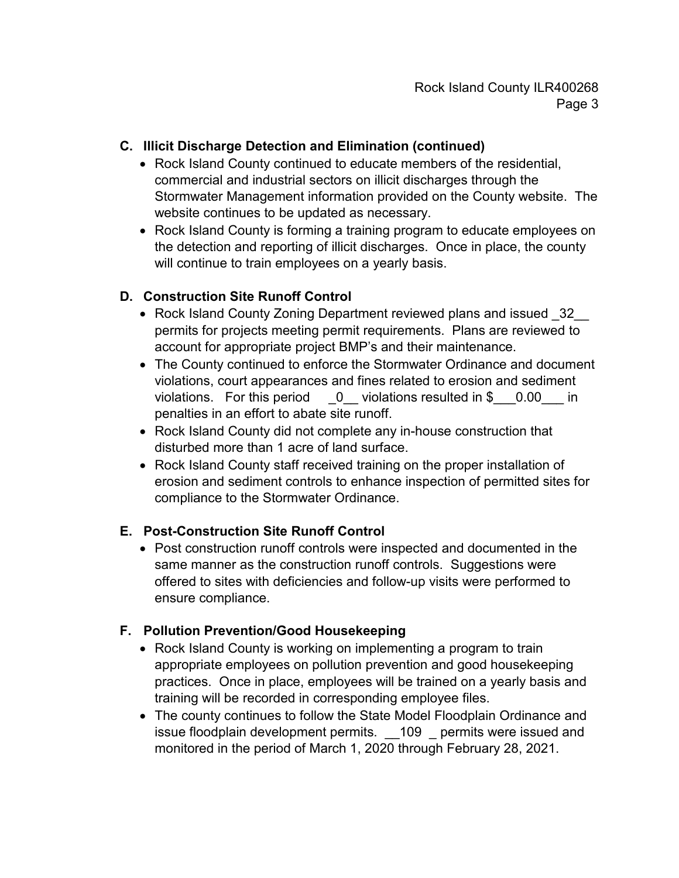### **C. Illicit Discharge Detection and Elimination (continued)**

- Rock Island County continued to educate members of the residential, commercial and industrial sectors on illicit discharges through the Stormwater Management information provided on the County website. The website continues to be updated as necessary.
- Rock Island County is forming a training program to educate employees on the detection and reporting of illicit discharges. Once in place, the county will continue to train employees on a yearly basis.

### **D. Construction Site Runoff Control**

- Rock Island County Zoning Department reviewed plans and issued 32 permits for projects meeting permit requirements. Plans are reviewed to account for appropriate project BMP's and their maintenance.
- The County continued to enforce the Stormwater Ordinance and document violations, court appearances and fines related to erosion and sediment violations. For this period  $\qquad 0$  violations resulted in \$  $\qquad 0.00$  in penalties in an effort to abate site runoff.
- Rock Island County did not complete any in-house construction that disturbed more than 1 acre of land surface.
- Rock Island County staff received training on the proper installation of erosion and sediment controls to enhance inspection of permitted sites for compliance to the Stormwater Ordinance.

### **E. Post-Construction Site Runoff Control**

• Post construction runoff controls were inspected and documented in the same manner as the construction runoff controls. Suggestions were offered to sites with deficiencies and follow-up visits were performed to ensure compliance.

### **F. Pollution Prevention/Good Housekeeping**

- Rock Island County is working on implementing a program to train appropriate employees on pollution prevention and good housekeeping practices. Once in place, employees will be trained on a yearly basis and training will be recorded in corresponding employee files.
- The county continues to follow the State Model Floodplain Ordinance and issue floodplain development permits. \_\_ 109 \_\_ permits were issued and monitored in the period of March 1, 2020 through February 28, 2021.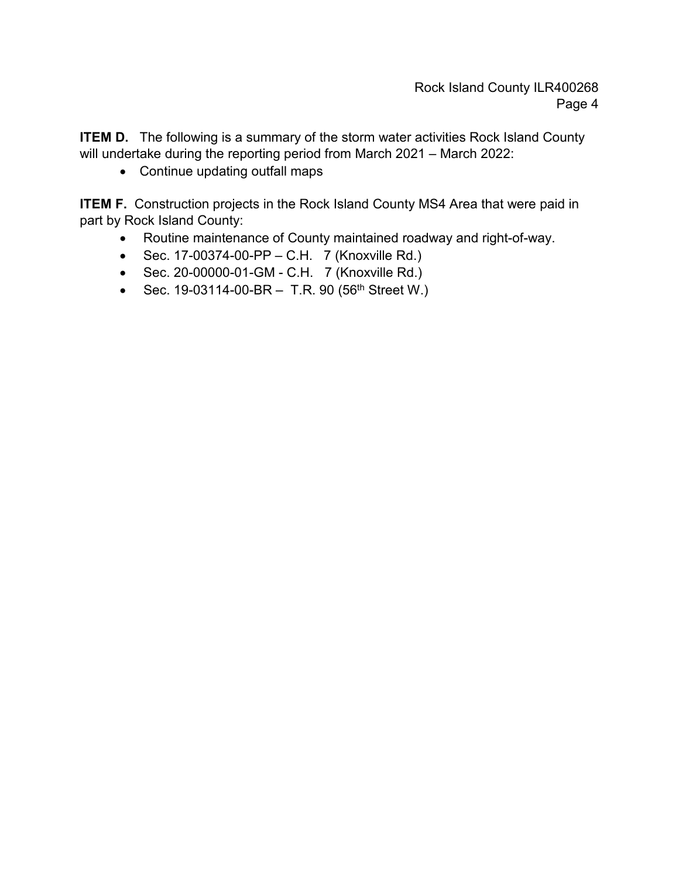**ITEM D.** The following is a summary of the storm water activities Rock Island County will undertake during the reporting period from March 2021 – March 2022:

• Continue updating outfall maps

**ITEM F.** Construction projects in the Rock Island County MS4 Area that were paid in part by Rock Island County:

- Routine maintenance of County maintained roadway and right-of-way.
- Sec. 17-00374-00-PP C.H. 7 (Knoxville Rd.)
- Sec. 20-00000-01-GM C.H. 7 (Knoxville Rd.)
- Sec. 19-03114-00-BR  $-$  T.R. 90 (56<sup>th</sup> Street W.)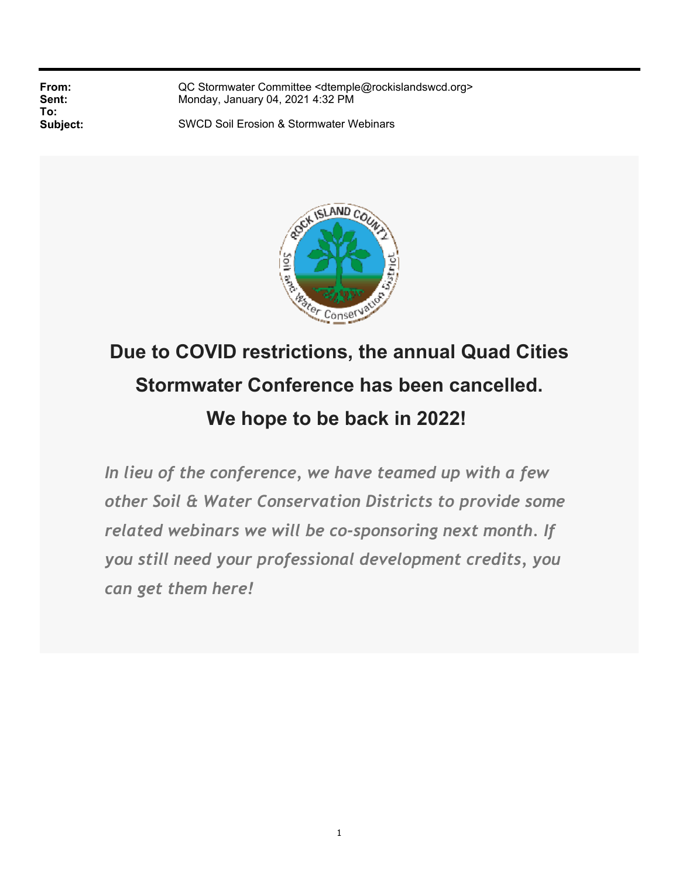**To:**

**From:** QC Stormwater Committee <dtemple@rockislandswcd.org><br> **Sent:** Monday, January 04, 2021 4:32 PM **Sent:** Monday, January 04, 2021 4:32 PM

**Subject:** SWCD Soil Erosion & Stormwater Webinars



# **Due to COVID restrictions, the annual Quad Cities Stormwater Conference has been cancelled. We hope to be back in 2022!**

*In lieu of the conference, we have teamed up with a few other Soil & Water Conservation Districts to provide some related webinars we will be co-sponsoring next month. If you still need your professional development credits, you can get them here!*